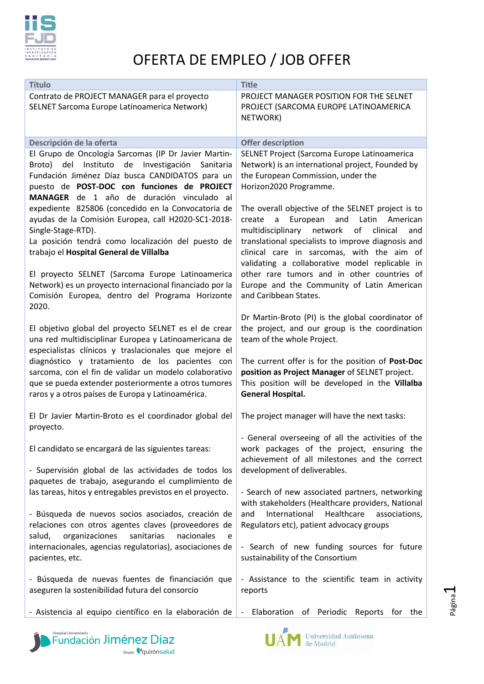

| <b>Título</b>                                                                                                    | <b>Title</b>                                                                 |
|------------------------------------------------------------------------------------------------------------------|------------------------------------------------------------------------------|
| Contrato de PROJECT MANAGER para el proyecto                                                                     | PROJECT MANAGER POSITION FOR THE SELNET                                      |
| SELNET Sarcoma Europe Latinoamerica Network)                                                                     | PROJECT (SARCOMA EUROPE LATINOAMERICA                                        |
|                                                                                                                  | NETWORK)                                                                     |
|                                                                                                                  |                                                                              |
| Descripción de la oferta                                                                                         | <b>Offer description</b>                                                     |
| El Grupo de Oncología Sarcomas (IP Dr Javier Martin-                                                             | SELNET Project (Sarcoma Europe Latinoamerica                                 |
| Instituto<br>Investigación<br>Broto)<br>del<br>de<br>Sanitaria                                                   | Network) is an international project, Founded by                             |
| Fundación Jiménez Díaz busca CANDIDATOS para un                                                                  | the European Commission, under the                                           |
| puesto de POST-DOC con funciones de PROJECT                                                                      | Horizon2020 Programme.                                                       |
| MANAGER de 1 año de duración vinculado al<br>expediente 825806 (concedido en la Convocatoria de                  | The overall objective of the SELNET project is to                            |
| ayudas de la Comisión Europea, call H2020-SC1-2018-                                                              | European<br>and<br>Latin<br>American<br>create<br>$\mathsf{a}$               |
| Single-Stage-RTD).                                                                                               | multidisciplinary network<br>of<br>clinical<br>and                           |
| La posición tendrá como localización del puesto de                                                               | translational specialists to improve diagnosis and                           |
| trabajo el Hospital General de Villalba                                                                          | clinical care in sarcomas, with the aim of                                   |
|                                                                                                                  | validating a collaborative model replicable in                               |
| El proyecto SELNET (Sarcoma Europe Latinoamerica                                                                 | other rare tumors and in other countries of                                  |
| Network) es un proyecto internacional financiado por la                                                          | Europe and the Community of Latin American                                   |
| Comisión Europea, dentro del Programa Horizonte                                                                  | and Caribbean States.                                                        |
| 2020.                                                                                                            |                                                                              |
|                                                                                                                  | Dr Martin-Broto (PI) is the global coordinator of                            |
| El objetivo global del proyecto SELNET es el de crear<br>una red multidisciplinar Europea y Latinoamericana de   | the project, and our group is the coordination<br>team of the whole Project. |
| especialistas clínicos y traslacionales que mejore el                                                            |                                                                              |
| diagnóstico y tratamiento de los pacientes con                                                                   | The current offer is for the position of Post-Doc                            |
| sarcoma, con el fin de validar un modelo colaborativo                                                            | position as Project Manager of SELNET project.                               |
| que se pueda extender posteriormente a otros tumores                                                             | This position will be developed in the Villalba                              |
| raros y a otros países de Europa y Latinoamérica.                                                                | <b>General Hospital.</b>                                                     |
|                                                                                                                  |                                                                              |
| El Dr Javier Martin-Broto es el coordinador global del                                                           | The project manager will have the next tasks:                                |
| proyecto.                                                                                                        | - General overseeing of all the activities of the                            |
| El candidato se encargará de las siguientes tareas:                                                              | work packages of the project, ensuring the                                   |
|                                                                                                                  | achievement of all milestones and the correct                                |
| - Supervisión global de las actividades de todos los                                                             | development of deliverables.                                                 |
| paquetes de trabajo, asegurando el cumplimiento de                                                               |                                                                              |
| las tareas, hitos y entregables previstos en el proyecto.                                                        | - Search of new associated partners, networking                              |
|                                                                                                                  | with stakeholders (Healthcare providers, National                            |
| - Búsqueda de nuevos socios asociados, creación de                                                               | International<br>Healthcare<br>and<br>associations,                          |
| relaciones con otros agentes claves (proveedores de<br>organizaciones<br>sanitarias<br>nacionales<br>salud,<br>e | Regulators etc), patient advocacy groups                                     |
| internacionales, agencias regulatorias), asociaciones de                                                         | - Search of new funding sources for future                                   |
| pacientes, etc.                                                                                                  | sustainability of the Consortium                                             |
|                                                                                                                  |                                                                              |
| - Búsqueda de nuevas fuentes de financiación que                                                                 | - Assistance to the scientific team in activity                              |
| aseguren la sostenibilidad futura del consorcio                                                                  | reports                                                                      |
|                                                                                                                  |                                                                              |
| - Asistencia al equipo científico en la elaboración de                                                           | - Elaboration of Periodic Reports for the                                    |

Grupo *Q'*quirónsalud

Fundación Jiménez Díaz



Universidad Autónoma<br>de Madrid

UA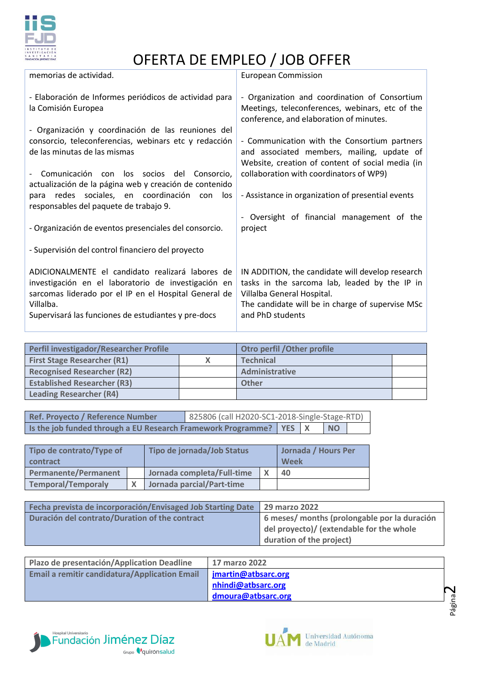

| <b>European Commission</b>                                                                                                                                                                              |
|---------------------------------------------------------------------------------------------------------------------------------------------------------------------------------------------------------|
| - Organization and coordination of Consortium<br>Meetings, teleconferences, webinars, etc of the<br>conference, and elaboration of minutes.                                                             |
| - Communication with the Consortium partners<br>and associated members, mailing, update of<br>Website, creation of content of social media (in                                                          |
| collaboration with coordinators of WP9)                                                                                                                                                                 |
| - Assistance in organization of presential events                                                                                                                                                       |
| - Oversight of financial management of the<br>project                                                                                                                                                   |
|                                                                                                                                                                                                         |
| IN ADDITION, the candidate will develop research<br>tasks in the sarcoma lab, leaded by the IP in<br>Villalba General Hospital.<br>The candidate will be in charge of supervise MSc<br>and PhD students |
|                                                                                                                                                                                                         |

| Perfil investigador/Researcher Profile |  | Otro perfil / Other profile |  |
|----------------------------------------|--|-----------------------------|--|
| <b>First Stage Researcher (R1)</b>     |  | <b>Technical</b>            |  |
| <b>Recognised Researcher (R2)</b>      |  | Administrative              |  |
| <b>Established Researcher (R3)</b>     |  | <b>Other</b>                |  |
| <b>Leading Researcher (R4)</b>         |  |                             |  |

| Ref. Provecto / Reference Number                                       | 825806 (call H2020-SC1-2018-Single-Stage-RTD) |  |           |  |
|------------------------------------------------------------------------|-----------------------------------------------|--|-----------|--|
| Is the job funded through a EU Research Framework Programme?   YES   X |                                               |  | <b>NO</b> |  |

| Tipo de contrato/Type of<br><b>contract</b> | Tipo de jornada/Job Status |  | Jornada / Hours Per<br>Week |  |
|---------------------------------------------|----------------------------|--|-----------------------------|--|
| <b>Permanente/Permanent</b>                 | Jornada completa/Full-time |  | 40                          |  |
| <b>Temporal/Temporaly</b>                   | Jornada parcial/Part-time  |  |                             |  |

| <b>Fecha prevista de incorporación/Envisaged Job Starting Date 29 marzo 2022</b> |                                              |  |
|----------------------------------------------------------------------------------|----------------------------------------------|--|
| Duración del contrato/Duration of the contract                                   | 6 meses/ months (prolongable por la duración |  |
|                                                                                  | del proyecto)/ (extendable for the whole     |  |
|                                                                                  | duration of the project)                     |  |

| Plazo de presentación/Application Deadline           | <b>17 marzo 2022</b>                     |   |
|------------------------------------------------------|------------------------------------------|---|
| <b>Email a remitir candidatura/Application Email</b> | jmartin@atbsarc.org                      |   |
|                                                      | nhindi@atbsarc.org<br>dmoura@atbsarc.org | π |
|                                                      |                                          |   |



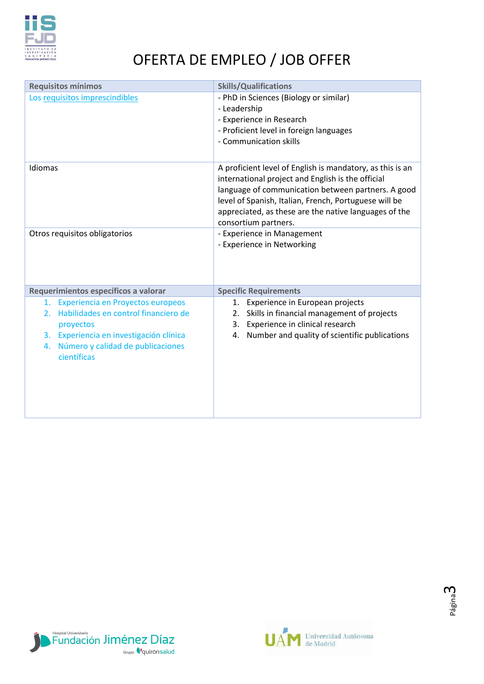

| <b>Requisitos mínimos</b>                               | <b>Skills/Qualifications</b>                                                                                                                                                                                                                                                                                   |  |
|---------------------------------------------------------|----------------------------------------------------------------------------------------------------------------------------------------------------------------------------------------------------------------------------------------------------------------------------------------------------------------|--|
| Los requisitos imprescindibles                          | - PhD in Sciences (Biology or similar)                                                                                                                                                                                                                                                                         |  |
|                                                         | - Leadership                                                                                                                                                                                                                                                                                                   |  |
|                                                         | - Experience in Research                                                                                                                                                                                                                                                                                       |  |
|                                                         | - Proficient level in foreign languages<br>- Communication skills                                                                                                                                                                                                                                              |  |
|                                                         |                                                                                                                                                                                                                                                                                                                |  |
| Idiomas                                                 | A proficient level of English is mandatory, as this is an<br>international project and English is the official<br>language of communication between partners. A good<br>level of Spanish, Italian, French, Portuguese will be<br>appreciated, as these are the native languages of the<br>consortium partners. |  |
| Otros requisitos obligatorios                           | - Experience in Management                                                                                                                                                                                                                                                                                     |  |
|                                                         | - Experience in Networking                                                                                                                                                                                                                                                                                     |  |
| Requerimientos específicos a valorar                    | <b>Specific Requirements</b>                                                                                                                                                                                                                                                                                   |  |
| 1. Experiencia en Proyectos europeos                    | 1. Experience in European projects                                                                                                                                                                                                                                                                             |  |
| Habilidades en control financiero de<br>2.              | Skills in financial management of projects<br>2.                                                                                                                                                                                                                                                               |  |
| proyectos<br>Experiencia en investigación clínica<br>3. | Experience in clinical research<br>3.<br>Number and quality of scientific publications<br>4.                                                                                                                                                                                                                   |  |
| Número y calidad de publicaciones<br>4.                 |                                                                                                                                                                                                                                                                                                                |  |
| científicas                                             |                                                                                                                                                                                                                                                                                                                |  |
|                                                         |                                                                                                                                                                                                                                                                                                                |  |
|                                                         |                                                                                                                                                                                                                                                                                                                |  |
|                                                         |                                                                                                                                                                                                                                                                                                                |  |
|                                                         |                                                                                                                                                                                                                                                                                                                |  |
|                                                         |                                                                                                                                                                                                                                                                                                                |  |